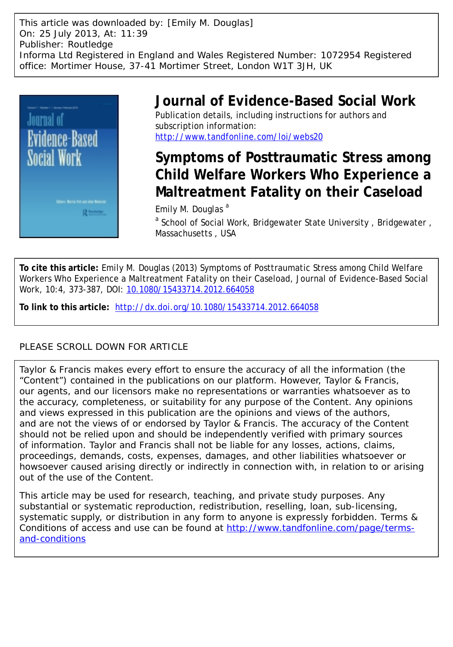This article was downloaded by: [Emily M. Douglas] On: 25 July 2013, At: 11:39 Publisher: Routledge Informa Ltd Registered in England and Wales Registered Number: 1072954 Registered office: Mortimer House, 37-41 Mortimer Street, London W1T 3JH, UK



## **Journal of Evidence-Based Social Work** Publication details, including instructions for authors and

subscription information: <http://www.tandfonline.com/loi/webs20>

# **Symptoms of Posttraumatic Stress among Child Welfare Workers Who Experience a Maltreatment Fatality on their Caseload**

Emily M. Douglas<sup>a</sup>

<sup>a</sup> School of Social Work, Bridgewater State University, Bridgewater, Massachusetts , USA

**To cite this article:** Emily M. Douglas (2013) Symptoms of Posttraumatic Stress among Child Welfare Workers Who Experience a Maltreatment Fatality on their Caseload, Journal of Evidence-Based Social Work, 10:4, 373-387, DOI: [10.1080/15433714.2012.664058](http://www.tandfonline.com/action/showCitFormats?doi=10.1080/15433714.2012.664058)

**To link to this article:** <http://dx.doi.org/10.1080/15433714.2012.664058>

### PLEASE SCROLL DOWN FOR ARTICLE

Taylor & Francis makes every effort to ensure the accuracy of all the information (the "Content") contained in the publications on our platform. However, Taylor & Francis, our agents, and our licensors make no representations or warranties whatsoever as to the accuracy, completeness, or suitability for any purpose of the Content. Any opinions and views expressed in this publication are the opinions and views of the authors, and are not the views of or endorsed by Taylor & Francis. The accuracy of the Content should not be relied upon and should be independently verified with primary sources of information. Taylor and Francis shall not be liable for any losses, actions, claims, proceedings, demands, costs, expenses, damages, and other liabilities whatsoever or howsoever caused arising directly or indirectly in connection with, in relation to or arising out of the use of the Content.

This article may be used for research, teaching, and private study purposes. Any substantial or systematic reproduction, redistribution, reselling, loan, sub-licensing, systematic supply, or distribution in any form to anyone is expressly forbidden. Terms & Conditions of access and use can be found at [http://www.tandfonline.com/page/terms](http://www.tandfonline.com/page/terms-and-conditions)[and-conditions](http://www.tandfonline.com/page/terms-and-conditions)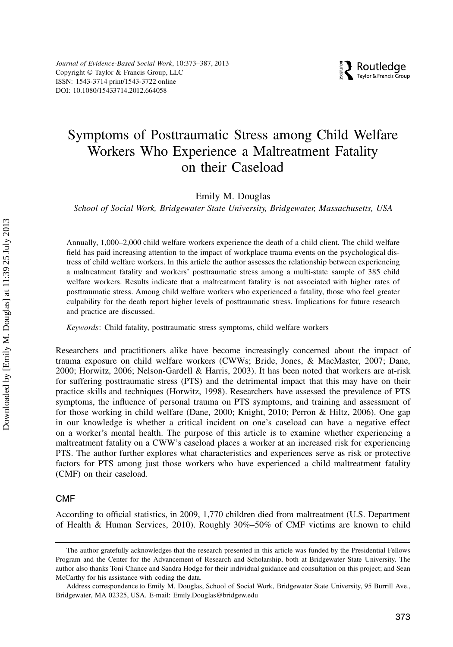# Symptoms of Posttraumatic Stress among Child Welfare Workers Who Experience a Maltreatment Fatality on their Caseload

Emily M. Douglas

School of Social Work, Bridgewater State University, Bridgewater, Massachusetts, USA

Annually, 1,000–2,000 child welfare workers experience the death of a child client. The child welfare field has paid increasing attention to the impact of workplace trauma events on the psychological distress of child welfare workers. In this article the author assesses the relationship between experiencing a maltreatment fatality and workers' posttraumatic stress among a multi-state sample of 385 child welfare workers. Results indicate that a maltreatment fatality is not associated with higher rates of posttraumatic stress. Among child welfare workers who experienced a fatality, those who feel greater culpability for the death report higher levels of posttraumatic stress. Implications for future research and practice are discussed.

Keywords: Child fatality, posttraumatic stress symptoms, child welfare workers

Researchers and practitioners alike have become increasingly concerned about the impact of trauma exposure on child welfare workers (CWWs; Bride, Jones, & MacMaster, 2007; Dane, 2000; Horwitz, 2006; Nelson-Gardell & Harris, 2003). It has been noted that workers are at-risk for suffering posttraumatic stress (PTS) and the detrimental impact that this may have on their practice skills and techniques (Horwitz, 1998). Researchers have assessed the prevalence of PTS symptoms, the influence of personal trauma on PTS symptoms, and training and assessment of for those working in child welfare (Dane, 2000; Knight, 2010; Perron & Hiltz, 2006). One gap in our knowledge is whether a critical incident on one's caseload can have a negative effect on a worker's mental health. The purpose of this article is to examine whether experiencing a maltreatment fatality on a CWW's caseload places a worker at an increased risk for experiencing PTS. The author further explores what characteristics and experiences serve as risk or protective factors for PTS among just those workers who have experienced a child maltreatment fatality (CMF) on their caseload.

#### CMF

According to official statistics, in 2009, 1,770 children died from maltreatment (U.S. Department of Health & Human Services, 2010). Roughly 30%–50% of CMF victims are known to child

The author gratefully acknowledges that the research presented in this article was funded by the Presidential Fellows Program and the Center for the Advancement of Research and Scholarship, both at Bridgewater State University. The author also thanks Toni Chance and Sandra Hodge for their individual guidance and consultation on this project; and Sean McCarthy for his assistance with coding the data.

Address correspondence to Emily M. Douglas, School of Social Work, Bridgewater State University, 95 Burrill Ave., Bridgewater, MA 02325, USA. E-mail: Emily.Douglas@bridgew.edu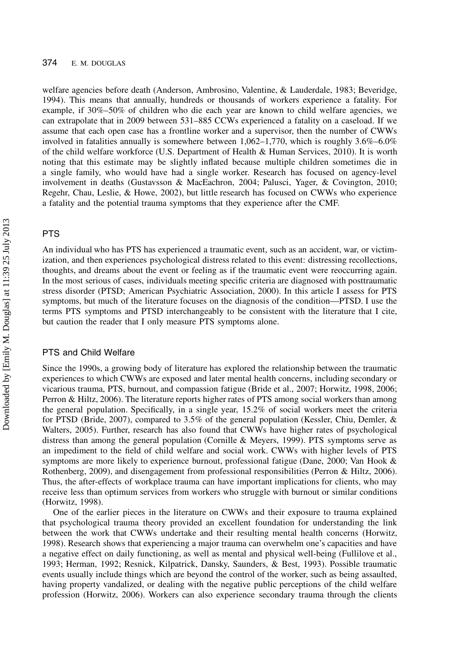welfare agencies before death (Anderson, Ambrosino, Valentine, & Lauderdale, 1983; Beveridge, 1994). This means that annually, hundreds or thousands of workers experience a fatality. For example, if 30%–50% of children who die each year are known to child welfare agencies, we can extrapolate that in 2009 between 531–885 CCWs experienced a fatality on a caseload. If we assume that each open case has a frontline worker and a supervisor, then the number of CWWs involved in fatalities annually is somewhere between 1,062–1,770, which is roughly 3.6%–6.0% of the child welfare workforce (U.S. Department of Health & Human Services, 2010). It is worth noting that this estimate may be slightly inflated because multiple children sometimes die in a single family, who would have had a single worker. Research has focused on agency-level involvement in deaths (Gustavsson & MacEachron, 2004; Palusci, Yager, & Covington, 2010; Regehr, Chau, Leslie, & Howe, 2002), but little research has focused on CWWs who experience a fatality and the potential trauma symptoms that they experience after the CMF.

#### **PTS**

An individual who has PTS has experienced a traumatic event, such as an accident, war, or victimization, and then experiences psychological distress related to this event: distressing recollections, thoughts, and dreams about the event or feeling as if the traumatic event were reoccurring again. In the most serious of cases, individuals meeting specific criteria are diagnosed with posttraumatic stress disorder (PTSD; American Psychiatric Association, 2000). In this article I assess for PTS symptoms, but much of the literature focuses on the diagnosis of the condition—PTSD. I use the terms PTS symptoms and PTSD interchangeably to be consistent with the literature that I cite, but caution the reader that I only measure PTS symptoms alone.

#### PTS and Child Welfare

Since the 1990s, a growing body of literature has explored the relationship between the traumatic experiences to which CWWs are exposed and later mental health concerns, including secondary or vicarious trauma, PTS, burnout, and compassion fatigue (Bride et al., 2007; Horwitz, 1998, 2006; Perron & Hiltz, 2006). The literature reports higher rates of PTS among social workers than among the general population. Specifically, in a single year, 15.2% of social workers meet the criteria for PTSD (Bride, 2007), compared to 3.5% of the general population (Kessler, Chiu, Demler, & Walters, 2005). Further, research has also found that CWWs have higher rates of psychological distress than among the general population (Cornille & Meyers, 1999). PTS symptoms serve as an impediment to the field of child welfare and social work. CWWs with higher levels of PTS symptoms are more likely to experience burnout, professional fatigue (Dane, 2000; Van Hook & Rothenberg, 2009), and disengagement from professional responsibilities (Perron & Hiltz, 2006). Thus, the after-effects of workplace trauma can have important implications for clients, who may receive less than optimum services from workers who struggle with burnout or similar conditions (Horwitz, 1998).

One of the earlier pieces in the literature on CWWs and their exposure to trauma explained that psychological trauma theory provided an excellent foundation for understanding the link between the work that CWWs undertake and their resulting mental health concerns (Horwitz, 1998). Research shows that experiencing a major trauma can overwhelm one's capacities and have a negative effect on daily functioning, as well as mental and physical well-being (Fullilove et al., 1993; Herman, 1992; Resnick, Kilpatrick, Dansky, Saunders, & Best, 1993). Possible traumatic events usually include things which are beyond the control of the worker, such as being assaulted, having property vandalized, or dealing with the negative public perceptions of the child welfare profession (Horwitz, 2006). Workers can also experience secondary trauma through the clients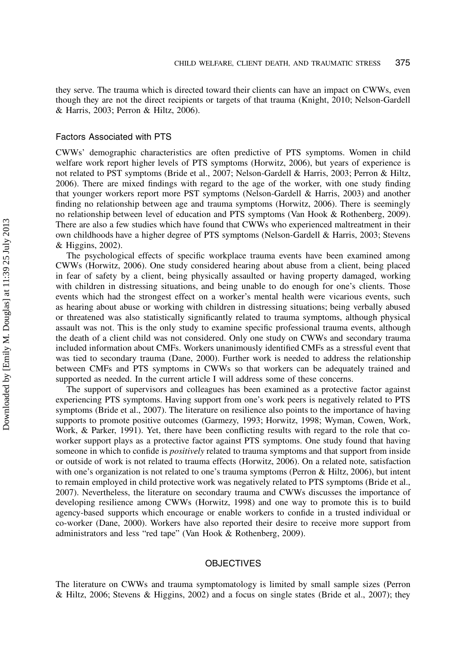they serve. The trauma which is directed toward their clients can have an impact on CWWs, even though they are not the direct recipients or targets of that trauma (Knight, 2010; Nelson-Gardell & Harris, 2003; Perron & Hiltz, 2006).

#### Factors Associated with PTS

CWWs' demographic characteristics are often predictive of PTS symptoms. Women in child welfare work report higher levels of PTS symptoms (Horwitz, 2006), but years of experience is not related to PST symptoms (Bride et al., 2007; Nelson-Gardell & Harris, 2003; Perron & Hiltz, 2006). There are mixed findings with regard to the age of the worker, with one study finding that younger workers report more PST symptoms (Nelson-Gardell & Harris, 2003) and another finding no relationship between age and trauma symptoms (Horwitz, 2006). There is seemingly no relationship between level of education and PTS symptoms (Van Hook & Rothenberg, 2009). There are also a few studies which have found that CWWs who experienced maltreatment in their own childhoods have a higher degree of PTS symptoms (Nelson-Gardell & Harris, 2003; Stevens & Higgins, 2002).

The psychological effects of specific workplace trauma events have been examined among CWWs (Horwitz, 2006). One study considered hearing about abuse from a client, being placed in fear of safety by a client, being physically assaulted or having property damaged, working with children in distressing situations, and being unable to do enough for one's clients. Those events which had the strongest effect on a worker's mental health were vicarious events, such as hearing about abuse or working with children in distressing situations; being verbally abused or threatened was also statistically significantly related to trauma symptoms, although physical assault was not. This is the only study to examine specific professional trauma events, although the death of a client child was not considered. Only one study on CWWs and secondary trauma included information about CMFs. Workers unanimously identified CMFs as a stressful event that was tied to secondary trauma (Dane, 2000). Further work is needed to address the relationship between CMFs and PTS symptoms in CWWs so that workers can be adequately trained and supported as needed. In the current article I will address some of these concerns.

The support of supervisors and colleagues has been examined as a protective factor against experiencing PTS symptoms. Having support from one's work peers is negatively related to PTS symptoms (Bride et al., 2007). The literature on resilience also points to the importance of having supports to promote positive outcomes (Garmezy, 1993; Horwitz, 1998; Wyman, Cowen, Work, Work, & Parker, 1991). Yet, there have been conflicting results with regard to the role that coworker support plays as a protective factor against PTS symptoms. One study found that having someone in which to confide is *positively* related to trauma symptoms and that support from inside or outside of work is not related to trauma effects (Horwitz, 2006). On a related note, satisfaction with one's organization is not related to one's trauma symptoms (Perron & Hiltz, 2006), but intent to remain employed in child protective work was negatively related to PTS symptoms (Bride et al., 2007). Nevertheless, the literature on secondary trauma and CWWs discusses the importance of developing resilience among CWWs (Horwitz, 1998) and one way to promote this is to build agency-based supports which encourage or enable workers to confide in a trusted individual or co-worker (Dane, 2000). Workers have also reported their desire to receive more support from administrators and less "red tape" (Van Hook & Rothenberg, 2009).

#### **OBJECTIVES**

The literature on CWWs and trauma symptomatology is limited by small sample sizes (Perron & Hiltz, 2006; Stevens & Higgins, 2002) and a focus on single states (Bride et al., 2007); they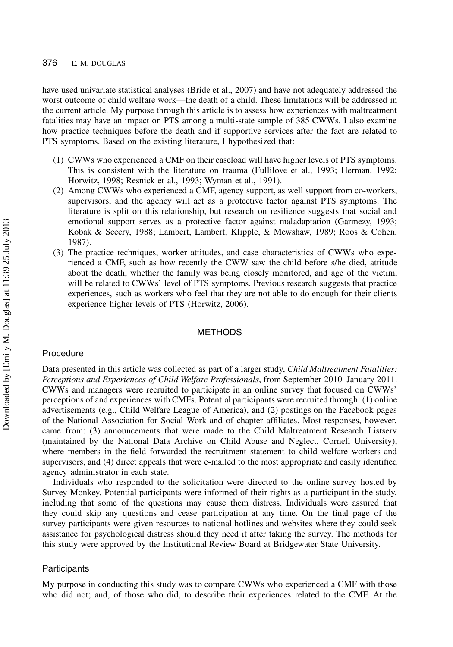#### 376 E. M. DOUGLAS

have used univariate statistical analyses (Bride et al., 2007) and have not adequately addressed the worst outcome of child welfare work—the death of a child. These limitations will be addressed in the current article. My purpose through this article is to assess how experiences with maltreatment fatalities may have an impact on PTS among a multi-state sample of 385 CWWs. I also examine how practice techniques before the death and if supportive services after the fact are related to PTS symptoms. Based on the existing literature, I hypothesized that:

- (1) CWWs who experienced a CMF on their caseload will have higher levels of PTS symptoms. This is consistent with the literature on trauma (Fullilove et al., 1993; Herman, 1992; Horwitz, 1998; Resnick et al., 1993; Wyman et al., 1991).
- (2) Among CWWs who experienced a CMF, agency support, as well support from co-workers, supervisors, and the agency will act as a protective factor against PTS symptoms. The literature is split on this relationship, but research on resilience suggests that social and emotional support serves as a protective factor against maladaptation (Garmezy, 1993; Kobak & Sceery, 1988; Lambert, Lambert, Klipple, & Mewshaw, 1989; Roos & Cohen, 1987).
- (3) The practice techniques, worker attitudes, and case characteristics of CWWs who experienced a CMF, such as how recently the CWW saw the child before s/he died, attitude about the death, whether the family was being closely monitored, and age of the victim, will be related to CWWs' level of PTS symptoms. Previous research suggests that practice experiences, such as workers who feel that they are not able to do enough for their clients experience higher levels of PTS (Horwitz, 2006).

#### METHODS

#### Procedure

Data presented in this article was collected as part of a larger study, Child Maltreatment Fatalities: Perceptions and Experiences of Child Welfare Professionals, from September 2010–January 2011. CWWs and managers were recruited to participate in an online survey that focused on CWWs' perceptions of and experiences with CMFs. Potential participants were recruited through: (1) online advertisements (e.g., Child Welfare League of America), and (2) postings on the Facebook pages of the National Association for Social Work and of chapter affiliates. Most responses, however, came from: (3) announcements that were made to the Child Maltreatment Research Listserv (maintained by the National Data Archive on Child Abuse and Neglect, Cornell University), where members in the field forwarded the recruitment statement to child welfare workers and supervisors, and (4) direct appeals that were e-mailed to the most appropriate and easily identified agency administrator in each state.

Individuals who responded to the solicitation were directed to the online survey hosted by Survey Monkey. Potential participants were informed of their rights as a participant in the study, including that some of the questions may cause them distress. Individuals were assured that they could skip any questions and cease participation at any time. On the final page of the survey participants were given resources to national hotlines and websites where they could seek assistance for psychological distress should they need it after taking the survey. The methods for this study were approved by the Institutional Review Board at Bridgewater State University.

#### **Participants**

My purpose in conducting this study was to compare CWWs who experienced a CMF with those who did not; and, of those who did, to describe their experiences related to the CMF. At the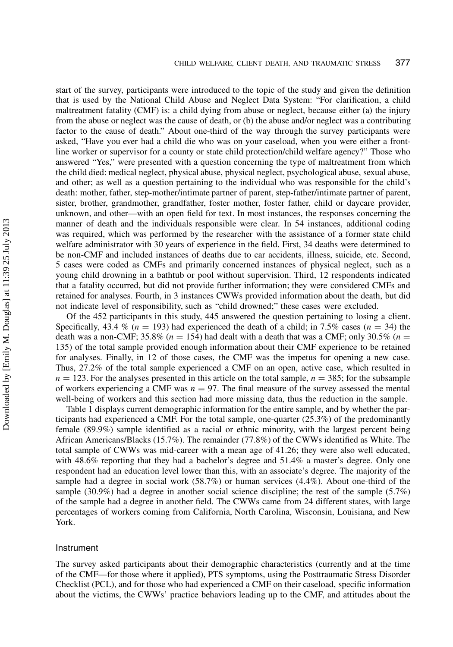start of the survey, participants were introduced to the topic of the study and given the definition that is used by the National Child Abuse and Neglect Data System: "For clarification, a child maltreatment fatality (CMF) is: a child dying from abuse or neglect, because either (a) the injury from the abuse or neglect was the cause of death, or (b) the abuse and/or neglect was a contributing factor to the cause of death." About one-third of the way through the survey participants were asked, "Have you ever had a child die who was on your caseload, when you were either a frontline worker or supervisor for a county or state child protection/child welfare agency?" Those who answered "Yes," were presented with a question concerning the type of maltreatment from which the child died: medical neglect, physical abuse, physical neglect, psychological abuse, sexual abuse, and other; as well as a question pertaining to the individual who was responsible for the child's death: mother, father, step-mother/intimate partner of parent, step-father/intimate partner of parent, sister, brother, grandmother, grandfather, foster mother, foster father, child or daycare provider, unknown, and other—with an open field for text. In most instances, the responses concerning the manner of death and the individuals responsible were clear. In 54 instances, additional coding was required, which was performed by the researcher with the assistance of a former state child welfare administrator with 30 years of experience in the field. First, 34 deaths were determined to be non-CMF and included instances of deaths due to car accidents, illness, suicide, etc. Second, 5 cases were coded as CMFs and primarily concerned instances of physical neglect, such as a young child drowning in a bathtub or pool without supervision. Third, 12 respondents indicated that a fatality occurred, but did not provide further information; they were considered CMFs and retained for analyses. Fourth, in 3 instances CWWs provided information about the death, but did not indicate level of responsibility, such as "child drowned;" these cases were excluded.

Of the 452 participants in this study, 445 answered the question pertaining to losing a client. Specifically, 43.4 % ( $n = 193$ ) had experienced the death of a child; in 7.5% cases ( $n = 34$ ) the death was a non-CMF; 35.8% ( $n = 154$ ) had dealt with a death that was a CMF; only 30.5% ( $n =$ 135) of the total sample provided enough information about their CMF experience to be retained for analyses. Finally, in 12 of those cases, the CMF was the impetus for opening a new case. Thus, 27.2% of the total sample experienced a CMF on an open, active case, which resulted in  $n = 123$ . For the analyses presented in this article on the total sample,  $n = 385$ ; for the subsample of workers experiencing a CMF was  $n = 97$ . The final measure of the survey assessed the mental well-being of workers and this section had more missing data, thus the reduction in the sample.

Table 1 displays current demographic information for the entire sample, and by whether the participants had experienced a CMF. For the total sample, one-quarter (25.3%) of the predominantly female (89.9%) sample identified as a racial or ethnic minority, with the largest percent being African Americans/Blacks (15.7%). The remainder (77.8%) of the CWWs identified as White. The total sample of CWWs was mid-career with a mean age of 41.26; they were also well educated, with 48.6% reporting that they had a bachelor's degree and 51.4% a master's degree. Only one respondent had an education level lower than this, with an associate's degree. The majority of the sample had a degree in social work (58.7%) or human services (4.4%). About one-third of the sample (30.9%) had a degree in another social science discipline; the rest of the sample (5.7%) of the sample had a degree in another field. The CWWs came from 24 different states, with large percentages of workers coming from California, North Carolina, Wisconsin, Louisiana, and New York.

#### Instrument

The survey asked participants about their demographic characteristics (currently and at the time of the CMF—for those where it applied), PTS symptoms, using the Posttraumatic Stress Disorder Checklist (PCL), and for those who had experienced a CMF on their caseload, specific information about the victims, the CWWs' practice behaviors leading up to the CMF, and attitudes about the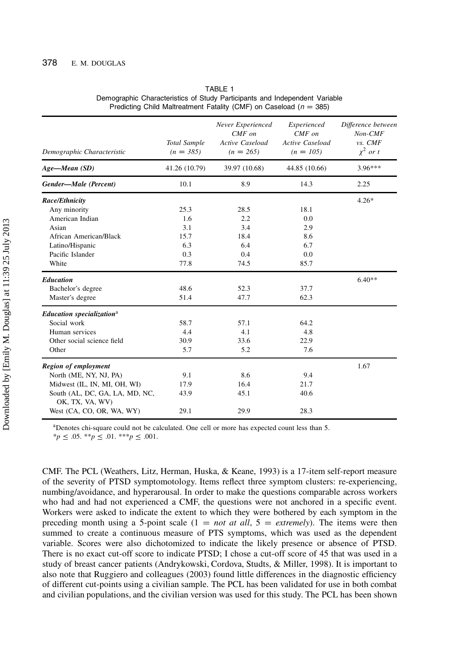| Demographic Characteristic                        | Total Sample<br>$(n = 385)$ | Never Experienced<br>$CMF$ on<br>Active Caseload<br>$(n = 265)$ | Experienced<br>$CMF$ on<br><b>Active Caseload</b><br>$(n = 105)$ | Difference between<br>Non-CMF<br>vs. CMF<br>$\chi^2$ or t |
|---------------------------------------------------|-----------------------------|-----------------------------------------------------------------|------------------------------------------------------------------|-----------------------------------------------------------|
| Age-Mean (SD)                                     | 41.26 (10.79)               | 39.97 (10.68)                                                   | 44.85 (10.66)                                                    | $3.96***$                                                 |
| Gender-Male (Percent)                             | 10.1                        | 8.9                                                             | 14.3                                                             | 2.25                                                      |
| Race/Ethnicity                                    |                             |                                                                 |                                                                  | $4.26*$                                                   |
| Any minority                                      | 25.3                        | 28.5                                                            | 18.1                                                             |                                                           |
| American Indian                                   | 1.6                         | 2.2                                                             | 0.0                                                              |                                                           |
| Asian                                             | 3.1                         | 3.4                                                             | 2.9                                                              |                                                           |
| African American/Black                            | 15.7                        | 18.4                                                            | 8.6                                                              |                                                           |
| Latino/Hispanic                                   | 6.3                         | 6.4                                                             | 6.7                                                              |                                                           |
| Pacific Islander                                  | 0.3                         | 0.4                                                             | 0.0                                                              |                                                           |
| White                                             | 77.8                        | 74.5                                                            | 85.7                                                             |                                                           |
| <b>Education</b>                                  |                             |                                                                 |                                                                  | $6.40**$                                                  |
| Bachelor's degree                                 | 48.6                        | 52.3                                                            | 37.7                                                             |                                                           |
| Master's degree                                   | 51.4                        | 47.7                                                            | 62.3                                                             |                                                           |
| Education specialization <sup>a</sup>             |                             |                                                                 |                                                                  |                                                           |
| Social work                                       | 58.7                        | 57.1                                                            | 64.2                                                             |                                                           |
| Human services                                    | 4.4                         | 4.1                                                             | 4.8                                                              |                                                           |
| Other social science field                        | 30.9                        | 33.6                                                            | 22.9                                                             |                                                           |
| Other                                             | 5.7                         | 5.2                                                             | 7.6                                                              |                                                           |
| <b>Region of employment</b>                       |                             |                                                                 |                                                                  | 1.67                                                      |
| North (ME, NY, NJ, PA)                            | 9.1                         | 8.6                                                             | 9.4                                                              |                                                           |
| Midwest (IL, IN, MI, OH, WI)                      | 17.9                        | 16.4                                                            | 21.7                                                             |                                                           |
| South (AL, DC, GA, LA, MD, NC,<br>OK, TX, VA, WV) | 43.9                        | 45.1                                                            | 40.6                                                             |                                                           |
| West (CA, CO, OR, WA, WY)                         | 29.1                        | 29.9                                                            | 28.3                                                             |                                                           |

TABLE 1 Demographic Characteristics of Study Participants and Independent Variable Predicting Child Maltreatment Fatality (CMF) on Caseload ( $n = 385$ )

<sup>a</sup>Denotes chi-square could not be calculated. One cell or more has expected count less than 5.

 $*_{p} \leq .05.$   $*_{p} \leq .01.$   $*_{p} \leq .001.$ 

CMF. The PCL (Weathers, Litz, Herman, Huska, & Keane, 1993) is a 17-item self-report measure of the severity of PTSD symptomotology. Items reflect three symptom clusters: re-experiencing, numbing/avoidance, and hyperarousal. In order to make the questions comparable across workers who had and had not experienced a CMF, the questions were not anchored in a specific event. Workers were asked to indicate the extent to which they were bothered by each symptom in the preceding month using a 5-point scale  $(1 = not at all, 5 = extremely)$ . The items were then summed to create a continuous measure of PTS symptoms, which was used as the dependent variable. Scores were also dichotomized to indicate the likely presence or absence of PTSD. There is no exact cut-off score to indicate PTSD; I chose a cut-off score of 45 that was used in a study of breast cancer patients (Andrykowski, Cordova, Studts, & Miller, 1998). It is important to also note that Ruggiero and colleagues (2003) found little differences in the diagnostic efficiency of different cut-points using a civilian sample. The PCL has been validated for use in both combat and civilian populations, and the civilian version was used for this study. The PCL has been shown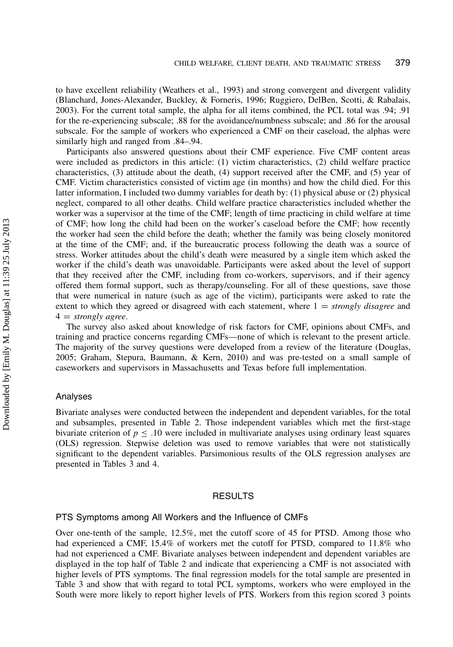to have excellent reliability (Weathers et al., 1993) and strong convergent and divergent validity (Blanchard, Jones-Alexander, Buckley, & Forneris, 1996; Ruggiero, DelBen, Scotti, & Rabalais, 2003). For the current total sample, the alpha for all items combined, the PCL total was .94; .91 for the re-experiencing subscale; .88 for the avoidance/numbness subscale; and .86 for the arousal subscale. For the sample of workers who experienced a CMF on their caseload, the alphas were similarly high and ranged from .84–.94.

Participants also answered questions about their CMF experience. Five CMF content areas were included as predictors in this article: (1) victim characteristics, (2) child welfare practice characteristics, (3) attitude about the death, (4) support received after the CMF, and (5) year of CMF. Victim characteristics consisted of victim age (in months) and how the child died. For this latter information, I included two dummy variables for death by: (1) physical abuse or (2) physical neglect, compared to all other deaths. Child welfare practice characteristics included whether the worker was a supervisor at the time of the CMF; length of time practicing in child welfare at time of CMF; how long the child had been on the worker's caseload before the CMF; how recently the worker had seen the child before the death; whether the family was being closely monitored at the time of the CMF; and, if the bureaucratic process following the death was a source of stress. Worker attitudes about the child's death were measured by a single item which asked the worker if the child's death was unavoidable. Participants were asked about the level of support that they received after the CMF, including from co-workers, supervisors, and if their agency offered them formal support, such as therapy/counseling. For all of these questions, save those that were numerical in nature (such as age of the victim), participants were asked to rate the extent to which they agreed or disagreed with each statement, where  $1 =$  strongly disagree and  $4 = strongly agree.$ 

The survey also asked about knowledge of risk factors for CMF, opinions about CMFs, and training and practice concerns regarding CMFs—none of which is relevant to the present article. The majority of the survey questions were developed from a review of the literature (Douglas, 2005; Graham, Stepura, Baumann, & Kern, 2010) and was pre-tested on a small sample of caseworkers and supervisors in Massachusetts and Texas before full implementation.

#### Analyses

Bivariate analyses were conducted between the independent and dependent variables, for the total and subsamples, presented in Table 2. Those independent variables which met the first-stage bivariate criterion of  $p \leq 0.10$  were included in multivariate analyses using ordinary least squares (OLS) regression. Stepwise deletion was used to remove variables that were not statistically significant to the dependent variables. Parsimonious results of the OLS regression analyses are presented in Tables 3 and 4.

#### RESULTS

#### PTS Symptoms among All Workers and the Influence of CMFs

Over one-tenth of the sample, 12.5%, met the cutoff score of 45 for PTSD. Among those who had experienced a CMF, 15.4% of workers met the cutoff for PTSD, compared to 11.8% who had not experienced a CMF. Bivariate analyses between independent and dependent variables are displayed in the top half of Table 2 and indicate that experiencing a CMF is not associated with higher levels of PTS symptoms. The final regression models for the total sample are presented in Table 3 and show that with regard to total PCL symptoms, workers who were employed in the South were more likely to report higher levels of PTS. Workers from this region scored 3 points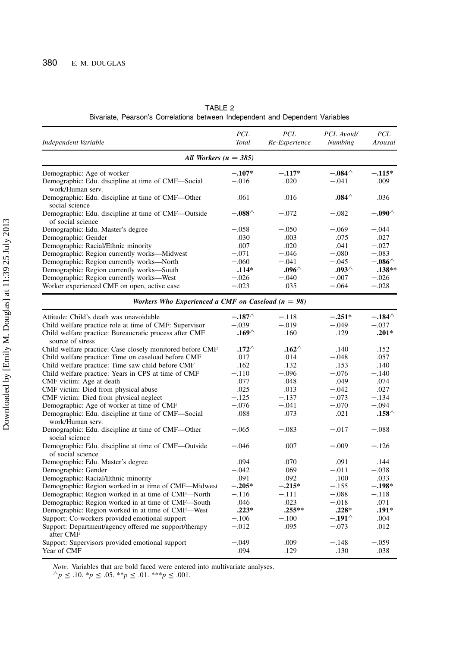| Independent Variable                                                                    | PCL<br>Total        | <b>PCL</b><br>Re-Experience | PCL Avoid/<br><b>Numbing</b> | <b>PCL</b><br>Arousal |
|-----------------------------------------------------------------------------------------|---------------------|-----------------------------|------------------------------|-----------------------|
| All Workers ( $n = 385$ )                                                               |                     |                             |                              |                       |
| Demographic: Age of worker<br>Demographic: Edu. discipline at time of CMF—Social        | $-.107*$<br>$-.016$ | $-.117*$<br>.020            | $-.084^$<br>$-.041$          | $-.115*$<br>.009      |
| work/Human serv.<br>Demographic: Edu. discipline at time of CMF—Other<br>social science | .061                | .016                        | $.084^$                      | .036                  |
| Demographic: Edu. discipline at time of CMF—Outside<br>of social science                | $-0.088^\wedge$     | $-.072$                     | $-.082$                      | $-.090^\wedge$        |
| Demographic: Edu. Master's degree                                                       | $-.058$             | $-.050$                     | $-.069$                      | $-.044$               |
| Demographic: Gender                                                                     | .030                | .003                        | .075                         | .027                  |
| Demographic: Racial/Ethnic minority                                                     | .007                | .020                        | .041                         | $-.027$               |
| Demographic: Region currently works—Midwest                                             | $-.071$             | $-.046$                     | $-.080$                      | $-.083$               |
| Demographic: Region currently works—North                                               | $-.060$             | $-.041$                     | $-.045$                      | $-.086^\wedge$        |
| Demographic: Region currently works—South                                               | $.114*$             | .096 $\wedge$               | $.093\triangle$              | .138**                |
| Demographic: Region currently works—West                                                | $-.026$             | $-.040$                     | $-.007$                      | $-.026$               |
| Worker experienced CMF on open, active case                                             | $-.023$             | .035                        | $-.064$                      | $-.028$               |
| Workers Who Experienced a CMF on Caseload $(n = 98)$                                    |                     |                             |                              |                       |
| Attitude: Child's death was unavoidable                                                 | $-.187^\wedge$      | $-.118$                     | $-.251*$                     | $-.184^$              |
| Child welfare practice role at time of CMF: Supervisor                                  | $-.039$             | $-.019$                     | $-.049$                      | $-.037$               |
| Child welfare practice: Bureaucratic process after CMF<br>source of stress              | .169 $^{\wedge}$    | .160                        | .129                         | $.201*$               |
| Child welfare practice: Case closely monitored before CMF                               | $.172^$             | $.162^{\wedge}$             | .140                         | .152                  |
| Child welfare practice: Time on caseload before CMF                                     | .017                | .014                        | $-.048$                      | .057                  |
| Child welfare practice: Time saw child before CMF                                       | .162                | .132                        | .153                         | .140                  |
| Child welfare practice: Years in CPS at time of CMF                                     | $-.110$             | $-.096$                     | $-.076$                      | $-.140$               |
| CMF victim: Age at death                                                                | .077                | .048                        | .049                         | .074                  |
| CMF victim: Died from physical abuse                                                    | .025                | .013                        | $-.042$                      | .027                  |
| CMF victim: Died from physical neglect                                                  | $-.125$             | $-.137$                     | $-.073$                      | $-.134$               |
| Demographic: Age of worker at time of CMF                                               | $-.076$             | $-.041$                     | $-.070$                      | $-.094$               |
| Demographic: Edu. discipline at time of CMF-Social<br>work/Human serv.                  | .088                | .073                        | .021                         | .158 $^\wedge$        |
| Demographic: Edu. discipline at time of CMF—Other<br>social science                     | $-.065$             | $-.083$                     | $-.017$                      | $-.088$               |
| Demographic: Edu. discipline at time of CMF—Outside<br>of social science                | $-.046$             | .007                        | $-.009$                      | $-.126$               |
| Demographic: Edu. Master's degree                                                       | .094                | .070                        | .091                         | .144                  |
| Demographic: Gender                                                                     | $-.042$             | .069                        | $-.011$                      | $-.038$               |
| Demographic: Racial/Ethnic minority                                                     | .091                | .092                        | .100                         | .033                  |
| Demographic: Region worked in at time of CMF—Midwest                                    | $-.205*$            | $-.215*$                    | $-.155$                      | $-.198*$              |
| Demographic: Region worked in at time of CMF—North                                      | $-.116$             | $-.111$                     | $-.088$                      | $-.118$               |
| Demographic: Region worked in at time of CMF—South                                      | .046                | .023                        | $-.018$                      | .071                  |
| Demographic: Region worked in at time of CMF—West                                       | $.223*$             | $.255***$                   | $.228*$                      | $.191*$               |
| Support: Co-workers provided emotional support                                          | $-.106$             | $-.100$                     | $-.191^\wedge$               | .004                  |
| Support: Department/agency offered me support/therapy<br>after CMF                      | $-.012$             | .095                        | $-.073$                      | .012                  |
| Support: Supervisors provided emotional support                                         | $-.049$             | .009                        | $-.148$                      | $-.059$               |
| Year of CMF                                                                             | .094                | .129                        | .130                         | .038                  |

TABLE 2 Bivariate, Pearson's Correlations between Independent and Dependent Variables

*Note.* Variables that are bold faced were entered into multivariate analyses.  $^{\wedge}p \leq .10. *p \leq .05. *p \leq .01. * *p \leq .001.$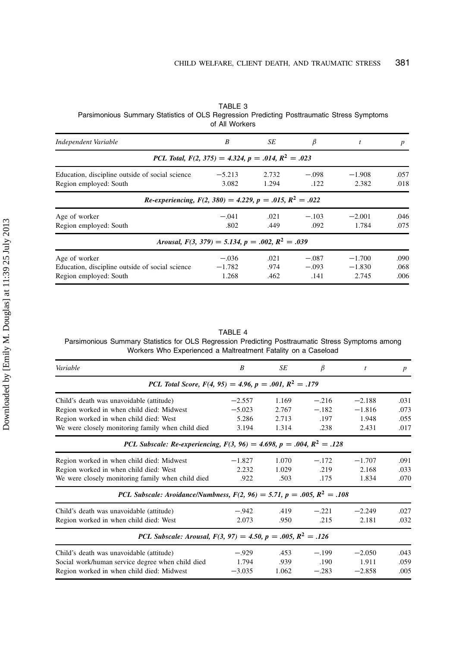| TABLE 3                                                                                    |
|--------------------------------------------------------------------------------------------|
| Parsimonious Summary Statistics of OLS Regression Predicting Posttraumatic Stress Symptoms |
| of All Workers                                                                             |

| Independent Variable                                                                       | B                            | SE                   | β                          | t                             | p                    |
|--------------------------------------------------------------------------------------------|------------------------------|----------------------|----------------------------|-------------------------------|----------------------|
| PCL Total, $F(2, 375) = 4.324$ , $p = .014$ , $R^2 = .023$                                 |                              |                      |                            |                               |                      |
| Education, discipline outside of social science<br>Region employed: South                  | $-5.213$<br>3.082            | 2.732<br>1.294       | $-.098$<br>.122            | $-1.908$<br>2.382             | .057<br>.018         |
| <i>Re-experiencing, F(2, 380)</i> = 4.229, <i>p</i> = .015, $R^2$ = .022                   |                              |                      |                            |                               |                      |
| Age of worker<br>Region employed: South                                                    | $-.041$<br>.802              | .021<br>.449         | $-.103$<br>.092            | $-2.001$<br>1.784             | .046<br>.075         |
| Arousal, $F(3, 379) = 5.134$ , $p = .002$ , $R^2 = .039$                                   |                              |                      |                            |                               |                      |
| Age of worker<br>Education, discipline outside of social science<br>Region employed: South | $-.036$<br>$-1.782$<br>1.268 | .021<br>.974<br>.462 | $-.087$<br>$-.093$<br>.141 | $-1.700$<br>$-1.830$<br>2.745 | .090<br>.068<br>.006 |

TABLE 4

Parsimonious Summary Statistics for OLS Regression Predicting Posttraumatic Stress Symptoms among Workers Who Experienced a Maltreatment Fatality on a Caseload

| Variable                                                                        | B        | SE    | β       | $\mathfrak{t}$ | $\boldsymbol{p}$ |
|---------------------------------------------------------------------------------|----------|-------|---------|----------------|------------------|
| PCL Total Score, $F(4, 95) = 4.96$ , $p = .001$ , $R^2 = .179$                  |          |       |         |                |                  |
| Child's death was unavoidable (attitude)                                        | $-2.557$ | 1.169 | $-.216$ | $-2.188$       | .031             |
| Region worked in when child died: Midwest                                       | $-5.023$ | 2.767 | $-.182$ | $-1.816$       | .073             |
| Region worked in when child died: West                                          | 5.286    | 2.713 | .197    | 1.948          | .055             |
| We were closely monitoring family when child died                               | 3.194    | 1.314 | .238    | 2.431          | .017             |
| PCL Subscale: Re-experiencing, $F(3, 96) = 4.698$ , $p = .004$ , $R^2 = .128$   |          |       |         |                |                  |
| Region worked in when child died: Midwest                                       | $-1.827$ | 1.070 | $-.172$ | $-1.707$       | .091             |
| Region worked in when child died: West                                          | 2.232    | 1.029 | .219    | 2.168          | .033             |
| We were closely monitoring family when child died                               | .922     | .503  | .175    | 1.834          | .070             |
| PCL Subscale: Avoidance/Numbness, $F(2, 96) = 5.71$ , $p = .005$ , $R^2 = .108$ |          |       |         |                |                  |
| Child's death was unavoidable (attitude)                                        | $-.942$  | .419  | $-.221$ | $-2.249$       | .027             |
| Region worked in when child died: West                                          | 2.073    | .950  | .215    | 2.181          | .032             |
| PCL Subscale: Arousal, $F(3, 97) = 4.50$ , $p = .005$ , $R^2 = .126$            |          |       |         |                |                  |
| Child's death was unavoidable (attitude)                                        | $-.929$  | .453  | $-.199$ | $-2.050$       | .043             |
| Social work/human service degree when child died                                | 1.794    | .939  | .190    | 1.911          | .059             |
| Region worked in when child died: Midwest                                       | $-3.035$ | 1.062 | $-.283$ | $-2.858$       | .005             |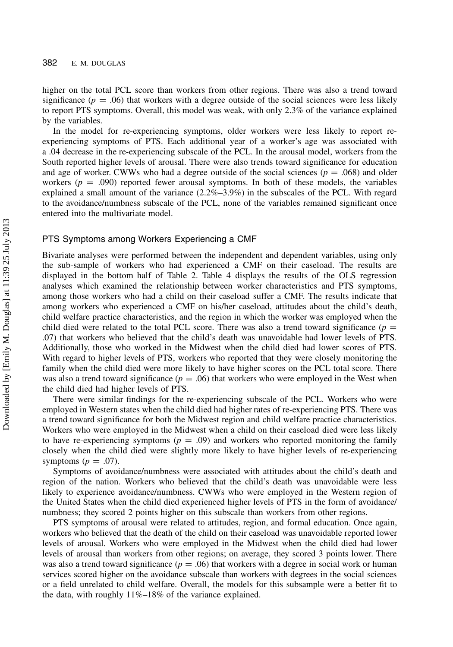higher on the total PCL score than workers from other regions. There was also a trend toward significance ( $p = .06$ ) that workers with a degree outside of the social sciences were less likely to report PTS symptoms. Overall, this model was weak, with only 2.3% of the variance explained by the variables.

In the model for re-experiencing symptoms, older workers were less likely to report reexperiencing symptoms of PTS. Each additional year of a worker's age was associated with a .04 decrease in the re-experiencing subscale of the PCL. In the arousal model, workers from the South reported higher levels of arousal. There were also trends toward significance for education and age of worker. CWWs who had a degree outside of the social sciences ( $p = .068$ ) and older workers ( $p = .090$ ) reported fewer arousal symptoms. In both of these models, the variables explained a small amount of the variance  $(2.2\% - 3.9\%)$  in the subscales of the PCL. With regard to the avoidance/numbness subscale of the PCL, none of the variables remained significant once entered into the multivariate model.

#### PTS Symptoms among Workers Experiencing a CMF

Bivariate analyses were performed between the independent and dependent variables, using only the sub-sample of workers who had experienced a CMF on their caseload. The results are displayed in the bottom half of Table 2. Table 4 displays the results of the OLS regression analyses which examined the relationship between worker characteristics and PTS symptoms, among those workers who had a child on their caseload suffer a CMF. The results indicate that among workers who experienced a CMF on his/her caseload, attitudes about the child's death, child welfare practice characteristics, and the region in which the worker was employed when the child died were related to the total PCL score. There was also a trend toward significance ( $p =$ .07) that workers who believed that the child's death was unavoidable had lower levels of PTS. Additionally, those who worked in the Midwest when the child died had lower scores of PTS. With regard to higher levels of PTS, workers who reported that they were closely monitoring the family when the child died were more likely to have higher scores on the PCL total score. There was also a trend toward significance ( $p = .06$ ) that workers who were employed in the West when the child died had higher levels of PTS.

There were similar findings for the re-experiencing subscale of the PCL. Workers who were employed in Western states when the child died had higher rates of re-experiencing PTS. There was a trend toward significance for both the Midwest region and child welfare practice characteristics. Workers who were employed in the Midwest when a child on their caseload died were less likely to have re-experiencing symptoms ( $p = .09$ ) and workers who reported monitoring the family closely when the child died were slightly more likely to have higher levels of re-experiencing symptoms ( $p = .07$ ).

Symptoms of avoidance/numbness were associated with attitudes about the child's death and region of the nation. Workers who believed that the child's death was unavoidable were less likely to experience avoidance/numbness. CWWs who were employed in the Western region of the United States when the child died experienced higher levels of PTS in the form of avoidance/ numbness; they scored 2 points higher on this subscale than workers from other regions.

PTS symptoms of arousal were related to attitudes, region, and formal education. Once again, workers who believed that the death of the child on their caseload was unavoidable reported lower levels of arousal. Workers who were employed in the Midwest when the child died had lower levels of arousal than workers from other regions; on average, they scored 3 points lower. There was also a trend toward significance ( $p = .06$ ) that workers with a degree in social work or human services scored higher on the avoidance subscale than workers with degrees in the social sciences or a field unrelated to child welfare. Overall, the models for this subsample were a better fit to the data, with roughly  $11\% - 18\%$  of the variance explained.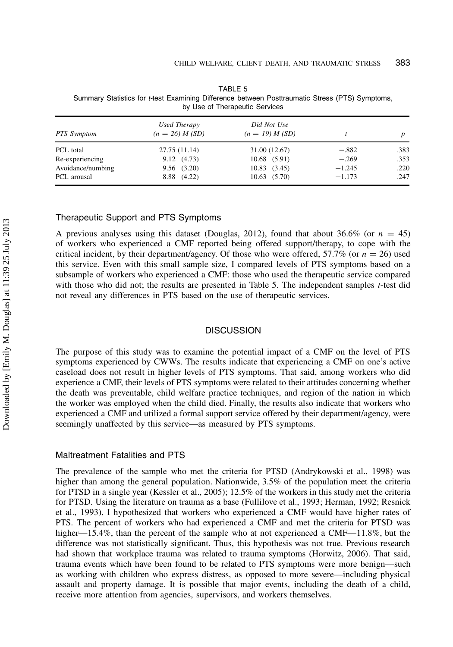| PTS Symptom       | Used Therapy<br>$(n = 26) M(SD)$ | Did Not Use<br>$(n = 19) M(SD)$ |          |      |
|-------------------|----------------------------------|---------------------------------|----------|------|
| PCL total         | 27.75 (11.14)                    | 31.00 (12.67)                   | $-.882$  | .383 |
| Re-experiencing   | 9.12(4.73)                       | $10.68$ $(5.91)$                | $-.269$  | .353 |
| Avoidance/numbing | $9.56$ $(3.20)$                  | $10.83$ $(3.45)$                | $-1.245$ | .220 |
| PCL arousal       | 8.88 (4.22)                      | $10.63$ $(5.70)$                | $-1.173$ | .247 |

TABLE 5 Summary Statistics for t-test Examining Difference between Posttraumatic Stress (PTS) Symptoms, by Use of Therapeutic Services

#### Therapeutic Support and PTS Symptoms

A previous analyses using this dataset (Douglas, 2012), found that about 36.6% (or  $n = 45$ ) of workers who experienced a CMF reported being offered support/therapy, to cope with the critical incident, by their department/agency. Of those who were offered, 57.7% (or  $n = 26$ ) used this service. Even with this small sample size, I compared levels of PTS symptoms based on a subsample of workers who experienced a CMF: those who used the therapeutic service compared with those who did not; the results are presented in Table 5. The independent samples  $t$ -test did not reveal any differences in PTS based on the use of therapeutic services.

#### **DISCUSSION**

The purpose of this study was to examine the potential impact of a CMF on the level of PTS symptoms experienced by CWWs. The results indicate that experiencing a CMF on one's active caseload does not result in higher levels of PTS symptoms. That said, among workers who did experience a CMF, their levels of PTS symptoms were related to their attitudes concerning whether the death was preventable, child welfare practice techniques, and region of the nation in which the worker was employed when the child died. Finally, the results also indicate that workers who experienced a CMF and utilized a formal support service offered by their department/agency, were seemingly unaffected by this service—as measured by PTS symptoms.

#### Maltreatment Fatalities and PTS

The prevalence of the sample who met the criteria for PTSD (Andrykowski et al., 1998) was higher than among the general population. Nationwide, 3.5% of the population meet the criteria for PTSD in a single year (Kessler et al., 2005); 12.5% of the workers in this study met the criteria for PTSD. Using the literature on trauma as a base (Fullilove et al., 1993; Herman, 1992; Resnick et al., 1993), I hypothesized that workers who experienced a CMF would have higher rates of PTS. The percent of workers who had experienced a CMF and met the criteria for PTSD was higher—15.4%, than the percent of the sample who at not experienced a CMF—11.8%, but the difference was not statistically significant. Thus, this hypothesis was not true. Previous research had shown that workplace trauma was related to trauma symptoms (Horwitz, 2006). That said, trauma events which have been found to be related to PTS symptoms were more benign—such as working with children who express distress, as opposed to more severe—including physical assault and property damage. It is possible that major events, including the death of a child, receive more attention from agencies, supervisors, and workers themselves.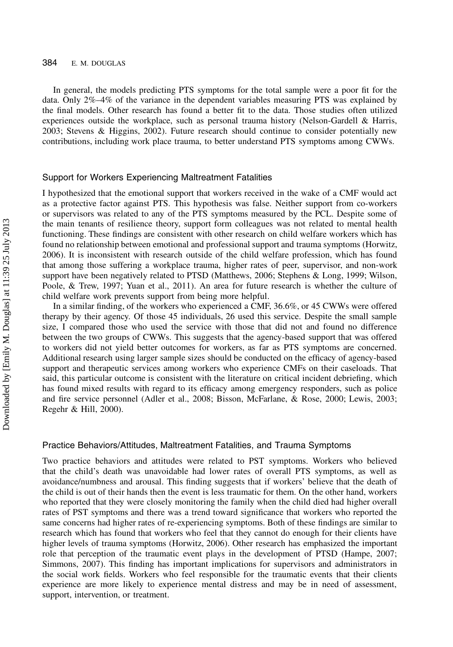#### 384 E. M. DOUGLAS

In general, the models predicting PTS symptoms for the total sample were a poor fit for the data. Only 2%–4% of the variance in the dependent variables measuring PTS was explained by the final models. Other research has found a better fit to the data. Those studies often utilized experiences outside the workplace, such as personal trauma history (Nelson-Gardell & Harris, 2003; Stevens & Higgins, 2002). Future research should continue to consider potentially new contributions, including work place trauma, to better understand PTS symptoms among CWWs.

#### Support for Workers Experiencing Maltreatment Fatalities

I hypothesized that the emotional support that workers received in the wake of a CMF would act as a protective factor against PTS. This hypothesis was false. Neither support from co-workers or supervisors was related to any of the PTS symptoms measured by the PCL. Despite some of the main tenants of resilience theory, support form colleagues was not related to mental health functioning. These findings are consistent with other research on child welfare workers which has found no relationship between emotional and professional support and trauma symptoms (Horwitz, 2006). It is inconsistent with research outside of the child welfare profession, which has found that among those suffering a workplace trauma, higher rates of peer, supervisor, and non-work support have been negatively related to PTSD (Matthews, 2006; Stephens & Long, 1999; Wilson, Poole, & Trew, 1997; Yuan et al., 2011). An area for future research is whether the culture of child welfare work prevents support from being more helpful.

In a similar finding, of the workers who experienced a CMF, 36.6%, or 45 CWWs were offered therapy by their agency. Of those 45 individuals, 26 used this service. Despite the small sample size, I compared those who used the service with those that did not and found no difference between the two groups of CWWs. This suggests that the agency-based support that was offered to workers did not yield better outcomes for workers, as far as PTS symptoms are concerned. Additional research using larger sample sizes should be conducted on the efficacy of agency-based support and therapeutic services among workers who experience CMFs on their caseloads. That said, this particular outcome is consistent with the literature on critical incident debriefing, which has found mixed results with regard to its efficacy among emergency responders, such as police and fire service personnel (Adler et al., 2008; Bisson, McFarlane, & Rose, 2000; Lewis, 2003; Regehr & Hill, 2000).

#### Practice Behaviors/Attitudes, Maltreatment Fatalities, and Trauma Symptoms

Two practice behaviors and attitudes were related to PST symptoms. Workers who believed that the child's death was unavoidable had lower rates of overall PTS symptoms, as well as avoidance/numbness and arousal. This finding suggests that if workers' believe that the death of the child is out of their hands then the event is less traumatic for them. On the other hand, workers who reported that they were closely monitoring the family when the child died had higher overall rates of PST symptoms and there was a trend toward significance that workers who reported the same concerns had higher rates of re-experiencing symptoms. Both of these findings are similar to research which has found that workers who feel that they cannot do enough for their clients have higher levels of trauma symptoms (Horwitz, 2006). Other research has emphasized the important role that perception of the traumatic event plays in the development of PTSD (Hampe, 2007; Simmons, 2007). This finding has important implications for supervisors and administrators in the social work fields. Workers who feel responsible for the traumatic events that their clients experience are more likely to experience mental distress and may be in need of assessment, support, intervention, or treatment.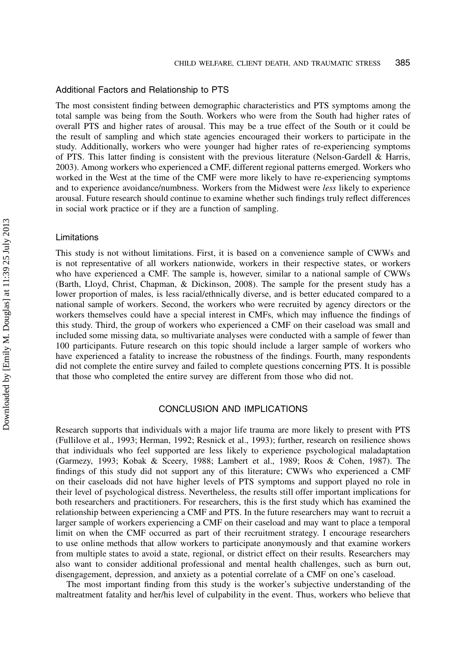#### Additional Factors and Relationship to PTS

The most consistent finding between demographic characteristics and PTS symptoms among the total sample was being from the South. Workers who were from the South had higher rates of overall PTS and higher rates of arousal. This may be a true effect of the South or it could be the result of sampling and which state agencies encouraged their workers to participate in the study. Additionally, workers who were younger had higher rates of re-experiencing symptoms of PTS. This latter finding is consistent with the previous literature (Nelson-Gardell & Harris, 2003). Among workers who experienced a CMF, different regional patterns emerged. Workers who worked in the West at the time of the CMF were more likely to have re-experiencing symptoms and to experience avoidance/numbness. Workers from the Midwest were less likely to experience arousal. Future research should continue to examine whether such findings truly reflect differences in social work practice or if they are a function of sampling.

#### Limitations

This study is not without limitations. First, it is based on a convenience sample of CWWs and is not representative of all workers nationwide, workers in their respective states, or workers who have experienced a CMF. The sample is, however, similar to a national sample of CWWs (Barth, Lloyd, Christ, Chapman, & Dickinson, 2008). The sample for the present study has a lower proportion of males, is less racial/ethnically diverse, and is better educated compared to a national sample of workers. Second, the workers who were recruited by agency directors or the workers themselves could have a special interest in CMFs, which may influence the findings of this study. Third, the group of workers who experienced a CMF on their caseload was small and included some missing data, so multivariate analyses were conducted with a sample of fewer than 100 participants. Future research on this topic should include a larger sample of workers who have experienced a fatality to increase the robustness of the findings. Fourth, many respondents did not complete the entire survey and failed to complete questions concerning PTS. It is possible that those who completed the entire survey are different from those who did not.

#### CONCLUSION AND IMPLICATIONS

Research supports that individuals with a major life trauma are more likely to present with PTS (Fullilove et al., 1993; Herman, 1992; Resnick et al., 1993); further, research on resilience shows that individuals who feel supported are less likely to experience psychological maladaptation (Garmezy, 1993; Kobak & Sceery, 1988; Lambert et al., 1989; Roos & Cohen, 1987). The findings of this study did not support any of this literature; CWWs who experienced a CMF on their caseloads did not have higher levels of PTS symptoms and support played no role in their level of psychological distress. Nevertheless, the results still offer important implications for both researchers and practitioners. For researchers, this is the first study which has examined the relationship between experiencing a CMF and PTS. In the future researchers may want to recruit a larger sample of workers experiencing a CMF on their caseload and may want to place a temporal limit on when the CMF occurred as part of their recruitment strategy. I encourage researchers to use online methods that allow workers to participate anonymously and that examine workers from multiple states to avoid a state, regional, or district effect on their results. Researchers may also want to consider additional professional and mental health challenges, such as burn out, disengagement, depression, and anxiety as a potential correlate of a CMF on one's caseload.

The most important finding from this study is the worker's subjective understanding of the maltreatment fatality and her/his level of culpability in the event. Thus, workers who believe that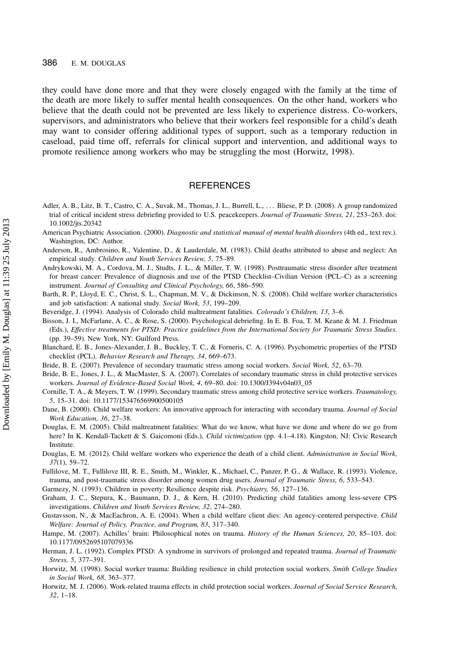they could have done more and that they were closely engaged with the family at the time of the death are more likely to suffer mental health consequences. On the other hand, workers who believe that the death could not be prevented are less likely to experience distress. Co-workers, supervisors, and administrators who believe that their workers feel responsible for a child's death may want to consider offering additional types of support, such as a temporary reduction in caseload, paid time off, referrals for clinical support and intervention, and additional ways to promote resilience among workers who may be struggling the most (Horwitz, 1998).

#### **REFERENCES**

- Adler, A. B., Litz, B. T., Castro, C. A., Suvak, M., Thomas, J. L., Burrell, L., ... Bliese, P. D. (2008). A group randomized trial of critical incident stress debriefing provided to U.S. peacekeepers. Journal of Traumatic Stress, 21, 253–263. doi: 10.1002/jts.20342
- American Psychiatric Association. (2000). Diagnostic and statistical manual of mental health disorders (4th ed., text rev.). Washington, DC: Author.
- Anderson, R., Ambrosino, R., Valentine, D., & Lauderdale, M. (1983). Child deaths attributed to abuse and neglect: An empirical study. Children and Youth Services Review, 5, 75–89.
- Andrykowski, M. A., Cordova, M. J., Studts, J. L., & Miller, T. W. (1998). Posttraumatic stress disorder after treatment for breast cancer: Prevalence of diagnosis and use of the PTSD Checklist–Civilian Version (PCL–C) as a screening instrument. Journal of Consulting and Clinical Psychology, 66, 586–590.
- Barth, R. P., Lloyd, E. C., Christ, S. L., Chapman, M. V., & Dickinson, N. S. (2008). Child welfare worker characteristics and job satisfaction: A national study. Social Work, 53, 199–209.
- Beveridge, J. (1994). Analysis of Colorado child maltreatment fatalities. Colorado's Children, 13, 3-6.
- Bisson, J. I., McFarlane, A. C., & Rose, S. (2000). Psychological debriefing. In E. B. Foa, T. M. Keane & M. J. Friedman (Eds.), Effective treatments for PTSD: Practice guidelines from the International Society for Traumatic Stress Studies. (pp. 39–59). New York, NY: Guilford Press.
- Blanchard, E. B., Jones-Alexander, J. B., Buckley, T. C., & Forneris, C. A. (1996). Psychometric properties of the PTSD checklist (PCL). Behavior Research and Therapy, 34, 669–673.
- Bride, B. E. (2007). Prevalence of secondary traumatic stress among social workers. Social Work, 52, 63-70.
- Bride, B. E., Jones, J. L., & MacMaster, S. A. (2007). Correlates of secondary traumatic stress in child protective services workers. Journal of Evidence-Based Social Work, 4, 69–80. doi: 10.1300/J394v04n03\_05
- Cornille, T. A., & Meyers, T. W. (1999). Secondary traumatic stress among child protective service workers. Traumatology, 5, 15–31. doi: 10.1177/153476569900500105
- Dane, B. (2000). Child welfare workers: An innovative approach for interacting with secondary trauma. Journal of Social Work Education, 36, 27–38.
- Douglas, E. M. (2005). Child maltreatment fatalities: What do we know, what have we done and where do we go from here? In K. Kendall-Tackett & S. Gaicomoni (Eds.), *Child victimization* (pp. 4.1–4.18). Kingston, NJ: Civic Research Institute.
- Douglas, E. M. (2012). Child welfare workers who experience the death of a child client. Administration in Social Work, 37(1), 59–72.
- Fullilove, M. T., Fullilove III, R. E., Smith, M., Winkler, K., Michael, C., Panzer, P. G., & Wallace, R. (1993). Violence, trauma, and post-traumatic stress disorder among women drug users. Journal of Traumatic Stress, 6, 533–543.

Garmezy, N. (1993). Children in poverty: Resilience despite risk. Psychiatry, 56, 127–136.

- Graham, J. C., Stepura, K., Baumann, D. J., & Kern, H. (2010). Predicting child fatalities among less-severe CPS investigations. Children and Youth Services Review, 32, 274–280.
- Gustavsson, N., & MacEachron, A. E. (2004). When a child welfare client dies: An agency-centered perspective. Child Welfare: Journal of Policy, Practice, and Program, 83, 317–340.
- Hampe, M. (2007). Achilles' brain: Philosophical notes on trauma. History of the Human Sciences, 20, 85–103. doi: 10.1177/0952695107079336
- Herman, J. L. (1992). Complex PTSD: A syndrome in survivors of prolonged and repeated trauma. Journal of Traumatic Stress, 5, 377–391.
- Horwitz, M. (1998). Social worker trauma: Building resilience in child protection social workers. Smith College Studies in Social Work, 68, 363–377.
- Horwitz, M. J. (2006). Work-related trauma effects in child protection social workers. Journal of Social Service Research, 32, 1–18.